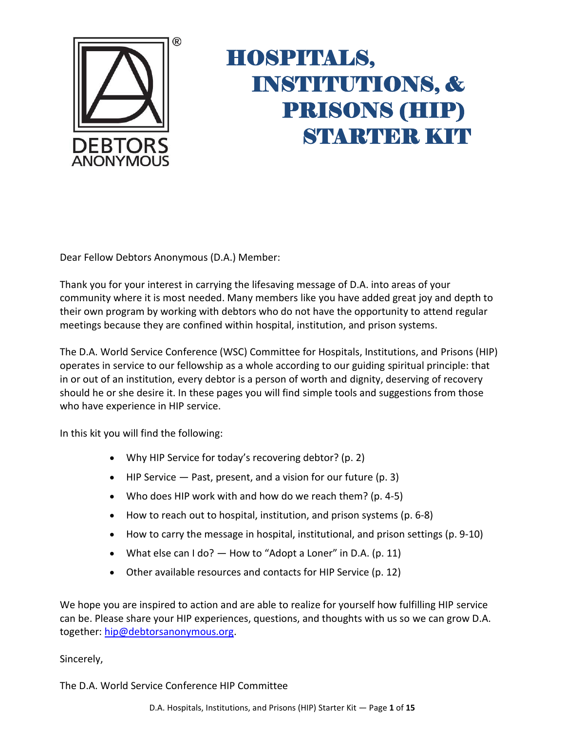

Dear Fellow Debtors Anonymous (D.A.) Member:

Thank you for your interest in carrying the lifesaving message of D.A. into areas of your community where it is most needed. Many members like you have added great joy and depth to their own program by working with debtors who do not have the opportunity to attend regular meetings because they are confined within hospital, institution, and prison systems.

The D.A. World Service Conference (WSC) Committee for Hospitals, Institutions, and Prisons (HIP) operates in service to our fellowship as a whole according to our guiding spiritual principle: that in or out of an institution, every debtor is a person of worth and dignity, deserving of recovery should he or she desire it. In these pages you will find simple tools and suggestions from those who have experience in HIP service.

In this kit you will find the following:

- Why HIP Service for today's recovering debtor? (p. 2)
- HIP Service  $-$  Past, present, and a vision for our future (p. 3)
- Who does HIP work with and how do we reach them? (p. 4-5)
- How to reach out to hospital, institution, and prison systems (p. 6-8)
- How to carry the message in hospital, institutional, and prison settings (p. 9-10)
- What else can  $1$  do?  $-$  How to "Adopt a Loner" in D.A. (p. 11)
- Other available resources and contacts for HIP Service (p. 12)

We hope you are inspired to action and are able to realize for yourself how fulfilling HIP service can be. Please share your HIP experiences, questions, and thoughts with us so we can grow D.A. together: [hip@debtorsanonymous.org.](mailto:hip@debtorsanonymous.org)

Sincerely,

The D.A. World Service Conference HIP Committee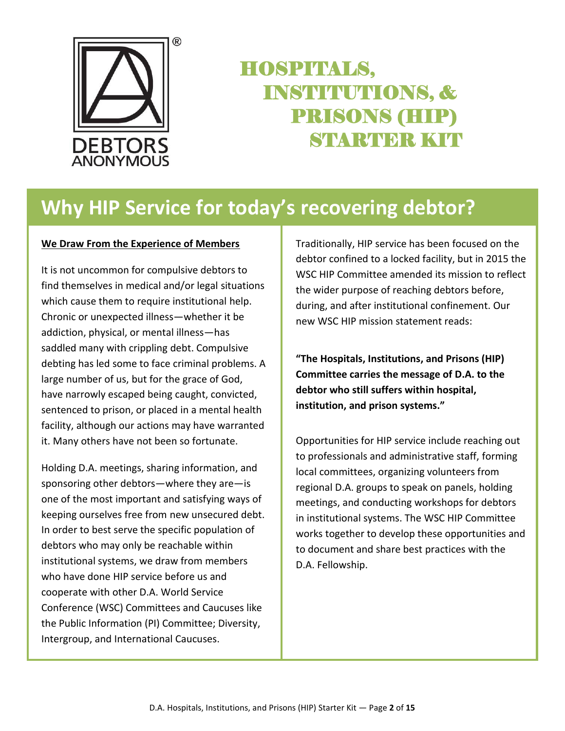

### **Why HIP Service for today's recovering debtor?**

#### **We Draw From the Experience of Members**

It is not uncommon for compulsive debtors to find themselves in medical and/or legal situations which cause them to require institutional help. Chronic or unexpected illness—whether it be addiction, physical, or mental illness—has saddled many with crippling debt. Compulsive debting has led some to face criminal problems. A large number of us, but for the grace of God, have narrowly escaped being caught, convicted, sentenced to prison, or placed in a mental health facility, although our actions may have warranted it. Many others have not been so fortunate.

Holding D.A. meetings, sharing information, and sponsoring other debtors—where they are—is one of the most important and satisfying ways of keeping ourselves free from new unsecured debt. In order to best serve the specific population of debtors who may only be reachable within institutional systems, we draw from members who have done HIP service before us and cooperate with other D.A. World Service Conference (WSC) Committees and Caucuses like the Public Information (PI) Committee; Diversity, Intergroup, and International Caucuses.

Traditionally, HIP service has been focused on the debtor confined to a locked facility, but in 2015 the WSC HIP Committee amended its mission to reflect the wider purpose of reaching debtors before, during, and after institutional confinement. Our new WSC HIP mission statement reads:

**"The Hospitals, Institutions, and Prisons (HIP) Committee carries the message of D.A. to the debtor who still suffers within hospital, institution, and prison systems."**

Opportunities for HIP service include reaching out to professionals and administrative staff, forming local committees, organizing volunteers from regional D.A. groups to speak on panels, holding meetings, and conducting workshops for debtors in institutional systems. The WSC HIP Committee works together to develop these opportunities and to document and share best practices with the D.A. Fellowship.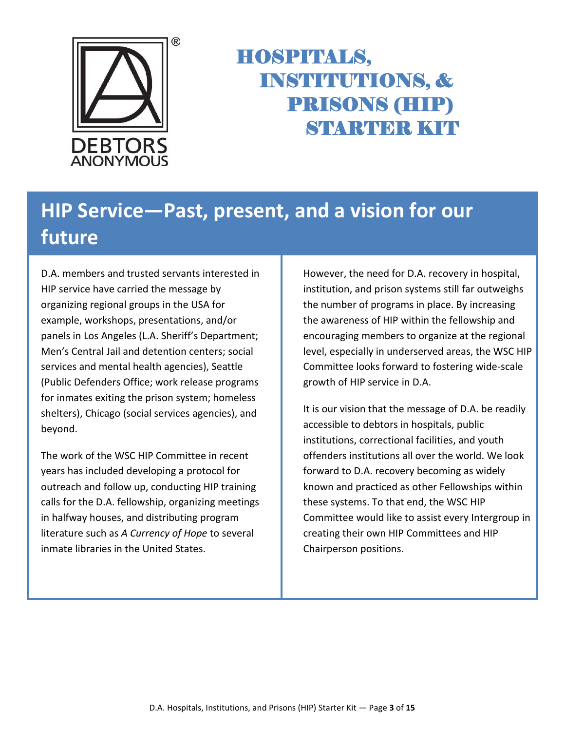

# **HIP Service—Past, present, and a vision for our future**

D.A. members and trusted servants interested in HIP service have carried the message by organizing regional groups in the USA for example, workshops, presentations, and/or panels in Los Angeles (L.A. Sheriff's Department; Men's Central Jail and detention centers; social services and mental health agencies), Seattle (Public Defenders Office; work release programs for inmates exiting the prison system; homeless shelters), Chicago (social services agencies), and beyond.

The work of the WSC HIP Committee in recent years has included developing a protocol for outreach and follow up, conducting HIP training calls for the D.A. fellowship, organizing meetings in halfway houses, and distributing program literature such as *A Currency of Hope* to several inmate libraries in the United States.

However, the need for D.A. recovery in hospital, institution, and prison systems still far outweighs the number of programs in place. By increasing the awareness of HIP within the fellowship and encouraging members to organize at the regional level, especially in underserved areas, the WSC HIP Committee looks forward to fostering wide-scale growth of HIP service in D.A.

It is our vision that the message of D.A. be readily accessible to debtors in hospitals, public institutions, correctional facilities, and youth offenders institutions all over the world. We look forward to D.A. recovery becoming as widely known and practiced as other Fellowships within these systems. To that end, the WSC HIP Committee would like to assist every Intergroup in creating their own HIP Committees and HIP Chairperson positions.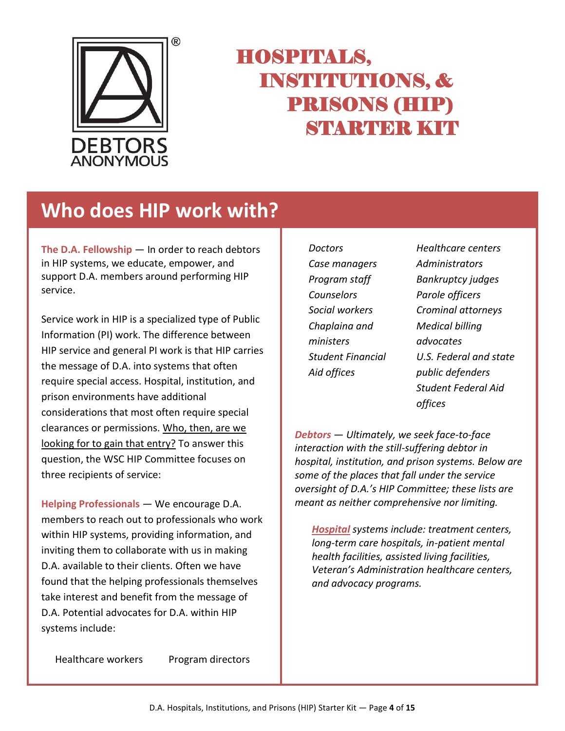

### **Who does HIP work with?**

**The D.A. Fellowship** — In order to reach debtors in HIP systems, we educate, empower, and support D.A. members around performing HIP service.

Service work in HIP is a specialized type of Public Information (PI) work. The difference between HIP service and general PI work is that HIP carries the message of D.A. into systems that often require special access. Hospital, institution, and prison environments have additional considerations that most often require special clearances or permissions. Who, then, are we looking for to gain that entry? To answer this question, the WSC HIP Committee focuses on three recipients of service:

**Helping Professionals** — We encourage D.A. members to reach out to professionals who work within HIP systems, providing information, and inviting them to collaborate with us in making D.A. available to their clients. Often we have found that the helping professionals themselves take interest and benefit from the message of D.A. Potential advocates for D.A. within HIP systems include:

*Doctors Case managers Program staff Counselors Social workers Chaplaina and ministers Student Financial Aid offices*

*Healthcare centers Administrators Bankruptcy judges Parole officers Crominal attorneys Medical billing advocates U.S. Federal and state public defenders Student Federal Aid offices*

*Debtors — Ultimately, we seek face-to-face interaction with the still-suffering debtor in hospital, institution, and prison systems. Below are some of the places that fall under the service oversight of D.A.'s HIP Committee; these lists are meant as neither comprehensive nor limiting.*

*Hospital systems include: treatment centers, long-term care hospitals, in-patient mental health facilities, assisted living facilities, Veteran's Administration healthcare centers, and advocacy programs.*

Healthcare workers Program directors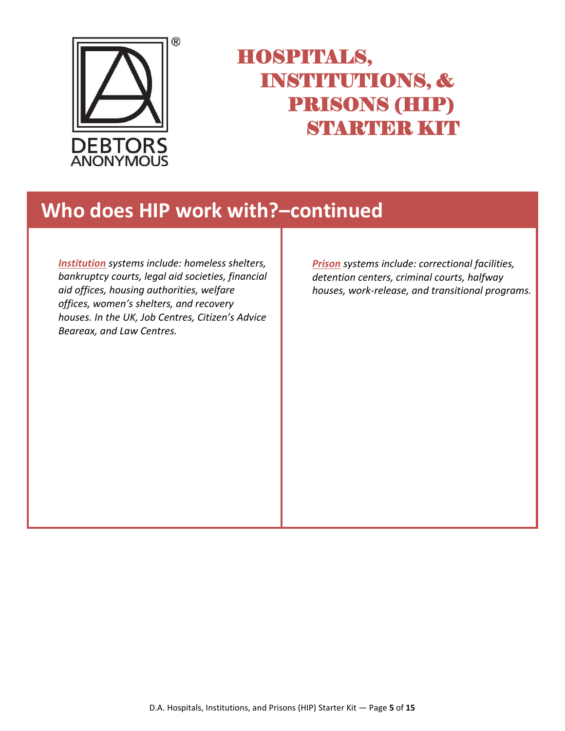

#### **Who does HIP work with?–continued**

*Institution systems include: homeless shelters, bankruptcy courts, legal aid societies, financial aid offices, housing authorities, welfare offices, women's shelters, and recovery houses. In the UK, Job Centres, Citizen's Advice Beareax, and Law Centres.*

*Prison systems include: correctional facilities, detention centers, criminal courts, halfway houses, work-release, and transitional programs.*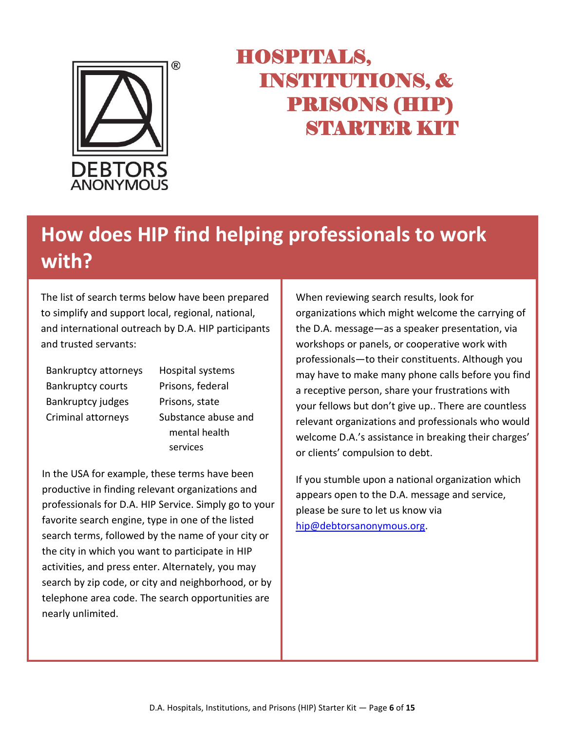

# **How does HIP find helping professionals to work with?**

The list of search terms below have been prepared to simplify and support local, regional, national, and international outreach by D.A. HIP participants and trusted servants:

Bankruptcy attorneys Hospital systems Bankruptcy courts Prisons, federal Bankruptcy judges Prisons, state

Criminal attorneys Substance abuse and mental health services

In the USA for example, these terms have been productive in finding relevant organizations and professionals for D.A. HIP Service. Simply go to your favorite search engine, type in one of the listed search terms, followed by the name of your city or the city in which you want to participate in HIP activities, and press enter. Alternately, you may search by zip code, or city and neighborhood, or by telephone area code. The search opportunities are nearly unlimited.

When reviewing search results, look for organizations which might welcome the carrying of the D.A. message—as a speaker presentation, via workshops or panels, or cooperative work with professionals—to their constituents. Although you may have to make many phone calls before you find a receptive person, share your frustrations with your fellows but don't give up.. There are countless relevant organizations and professionals who would welcome D.A.'s assistance in breaking their charges' or clients' compulsion to debt.

If you stumble upon a national organization which appears open to the D.A. message and service, please be sure to let us know via [hip@debtorsanonymous.org.](mailto:hip@debtorsanonymous.org)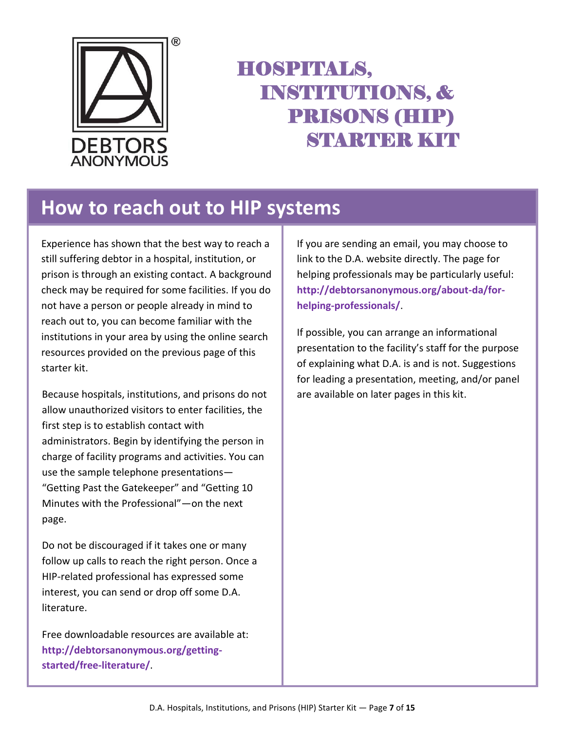

#### **How to reach out to HIP systems**

Experience has shown that the best way to reach a still suffering debtor in a hospital, institution, or prison is through an existing contact. A background check may be required for some facilities. If you do not have a person or people already in mind to reach out to, you can become familiar with the institutions in your area by using the online search resources provided on the previous page of this starter kit.

Because hospitals, institutions, and prisons do not allow unauthorized visitors to enter facilities, the first step is to establish contact with administrators. Begin by identifying the person in charge of facility programs and activities. You can use the sample telephone presentations— "Getting Past the Gatekeeper" and "Getting 10 Minutes with the Professional"—on the next page.

Do not be discouraged if it takes one or many follow up calls to reach the right person. Once a HIP-related professional has expressed some interest, you can send or drop off some D.A. literature.

Free downloadable resources are available at: **http://debtorsanonymous.org/gettingstarted/free-literature/**.

If you are sending an email, you may choose to link to the D.A. website directly. The page for helping professionals may be particularly useful: **http://debtorsanonymous.org/about-da/forhelping-professionals/**.

If possible, you can arrange an informational presentation to the facility's staff for the purpose of explaining what D.A. is and is not. Suggestions for leading a presentation, meeting, and/or panel are available on later pages in this kit.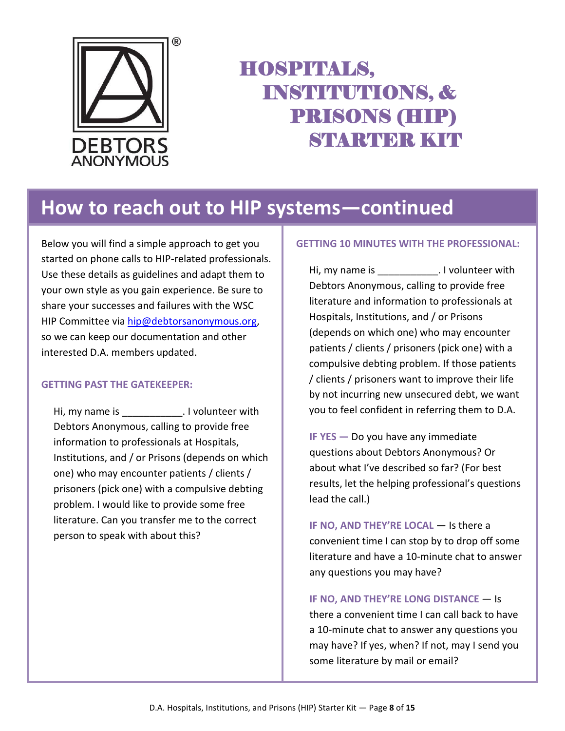

#### **How to reach out to HIP systems—continued**

Below you will find a simple approach to get you started on phone calls to HIP-related professionals. Use these details as guidelines and adapt them to your own style as you gain experience. Be sure to share your successes and failures with the WSC HIP Committee via [hip@debtorsanonymous.org,](mailto:hip@debtorsanonymous.org) so we can keep our documentation and other interested D.A. members updated.

#### **GETTING PAST THE GATEKEEPER:**

Hi, my name is \_\_\_\_\_\_\_\_\_\_\_\_. I volunteer with Debtors Anonymous, calling to provide free information to professionals at Hospitals, Institutions, and / or Prisons (depends on which one) who may encounter patients / clients / prisoners (pick one) with a compulsive debting problem. I would like to provide some free literature. Can you transfer me to the correct person to speak with about this?

#### **GETTING 10 MINUTES WITH THE PROFESSIONAL:**

Hi, my name is example 1 volunteer with Debtors Anonymous, calling to provide free literature and information to professionals at Hospitals, Institutions, and / or Prisons (depends on which one) who may encounter patients / clients / prisoners (pick one) with a compulsive debting problem. If those patients / clients / prisoners want to improve their life by not incurring new unsecured debt, we want you to feel confident in referring them to D.A.

**IF YES —** Do you have any immediate questions about Debtors Anonymous? Or about what I've described so far? (For best results, let the helping professional's questions lead the call.)

**IF NO, AND THEY'RE LOCAL** — Is there a convenient time I can stop by to drop off some literature and have a 10-minute chat to answer any questions you may have?

**IF NO, AND THEY'RE LONG DISTANCE** — Is there a convenient time I can call back to have a 10-minute chat to answer any questions you may have? If yes, when? If not, may I send you some literature by mail or email?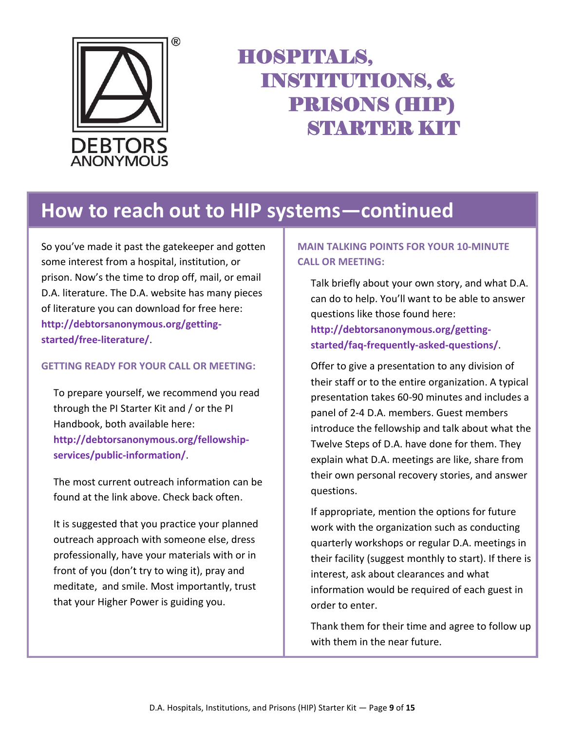

### **How to reach out to HIP systems—continued**

So you've made it past the gatekeeper and gotten some interest from a hospital, institution, or prison. Now's the time to drop off, mail, or email D.A. literature. The D.A. website has many pieces of literature you can download for free here: **http://debtorsanonymous.org/gettingstarted/free-literature/**.

#### **GETTING READY FOR YOUR CALL OR MEETING:**

To prepare yourself, we recommend you read through the PI Starter Kit and / or the PI Handbook, both available here: **http://debtorsanonymous.org/fellowshipservices/public-information/**.

The most current outreach information can be found at the link above. Check back often.

It is suggested that you practice your planned outreach approach with someone else, dress professionally, have your materials with or in front of you (don't try to wing it), pray and meditate, and smile. Most importantly, trust that your Higher Power is guiding you.

#### **MAIN TALKING POINTS FOR YOUR 10-MINUTE CALL OR MEETING:**

Talk briefly about your own story, and what D.A. can do to help. You'll want to be able to answer questions like those found here: **http://debtorsanonymous.org/gettingstarted/faq-frequently-asked-questions/**.

Offer to give a presentation to any division of their staff or to the entire organization. A typical presentation takes 60-90 minutes and includes a panel of 2-4 D.A. members. Guest members introduce the fellowship and talk about what the Twelve Steps of D.A. have done for them. They explain what D.A. meetings are like, share from their own personal recovery stories, and answer questions.

If appropriate, mention the options for future work with the organization such as conducting quarterly workshops or regular D.A. meetings in their facility (suggest monthly to start). If there is interest, ask about clearances and what information would be required of each guest in order to enter.

Thank them for their time and agree to follow up with them in the near future.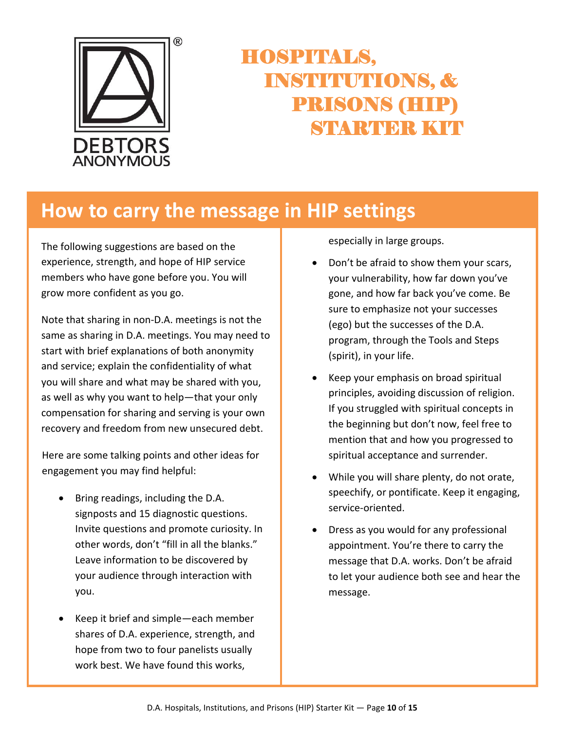

### **How to carry the message in HIP settings**

The following suggestions are based on the experience, strength, and hope of HIP service members who have gone before you. You will grow more confident as you go.

Note that sharing in non-D.A. meetings is not the same as sharing in D.A. meetings. You may need to start with brief explanations of both anonymity and service; explain the confidentiality of what you will share and what may be shared with you, as well as why you want to help—that your only compensation for sharing and serving is your own recovery and freedom from new unsecured debt.

Here are some talking points and other ideas for engagement you may find helpful:

- Bring readings, including the D.A. signposts and 15 diagnostic questions. Invite questions and promote curiosity. In other words, don't "fill in all the blanks." Leave information to be discovered by your audience through interaction with you.
- Keep it brief and simple—each member shares of D.A. experience, strength, and hope from two to four panelists usually work best. We have found this works,

especially in large groups.

- Don't be afraid to show them your scars, your vulnerability, how far down you've gone, and how far back you've come. Be sure to emphasize not your successes (ego) but the successes of the D.A. program, through the Tools and Steps (spirit), in your life.
- Keep your emphasis on broad spiritual principles, avoiding discussion of religion. If you struggled with spiritual concepts in the beginning but don't now, feel free to mention that and how you progressed to spiritual acceptance and surrender.
- While you will share plenty, do not orate, speechify, or pontificate. Keep it engaging, service-oriented.
- Dress as you would for any professional appointment. You're there to carry the message that D.A. works. Don't be afraid to let your audience both see and hear the message.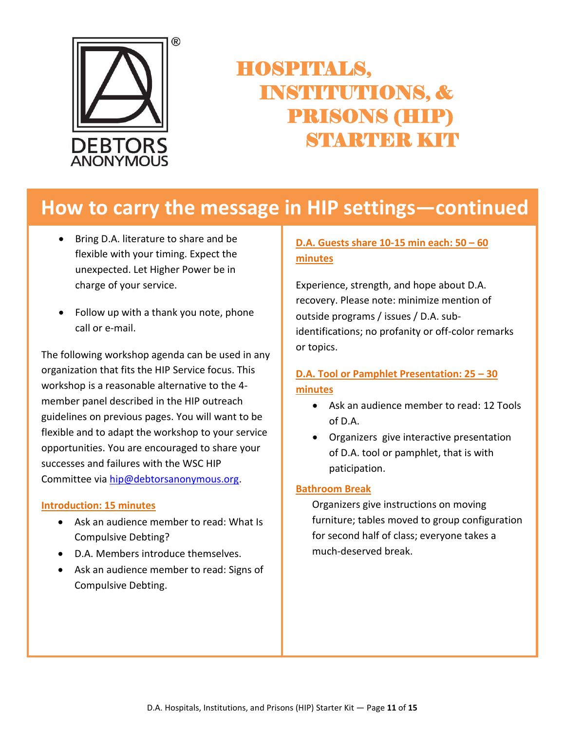

### **How to carry the message in HIP settings—continued**

- Bring D.A. literature to share and be flexible with your timing. Expect the unexpected. Let Higher Power be in charge of your service.
- Follow up with a thank you note, phone call or e-mail.

The following workshop agenda can be used in any organization that fits the HIP Service focus. This workshop is a reasonable alternative to the 4 member panel described in the HIP outreach guidelines on previous pages. You will want to be flexible and to adapt the workshop to your service opportunities. You are encouraged to share your successes and failures with the WSC HIP Committee vi[a hip@debtorsanonymous.org.](mailto:hip@debtorsanonymous.org)

#### **Introduction: 15 minutes**

- Ask an audience member to read: What Is Compulsive Debting?
- D.A. Members introduce themselves.
- Ask an audience member to read: Signs of Compulsive Debting.

#### **D.A. Guests share 10-15 min each: 50 – 60 minutes**

Experience, strength, and hope about D.A. recovery. Please note: minimize mention of outside programs / issues / D.A. subidentifications; no profanity or off-color remarks or topics.

#### **D.A. Tool or Pamphlet Presentation: 25 – 30 minutes**

- Ask an audience member to read: 12 Tools of D.A.
- Organizers give interactive presentation of D.A. tool or pamphlet, that is with paticipation.

#### **Bathroom Break**

Organizers give instructions on moving furniture; tables moved to group configuration for second half of class; everyone takes a much-deserved break.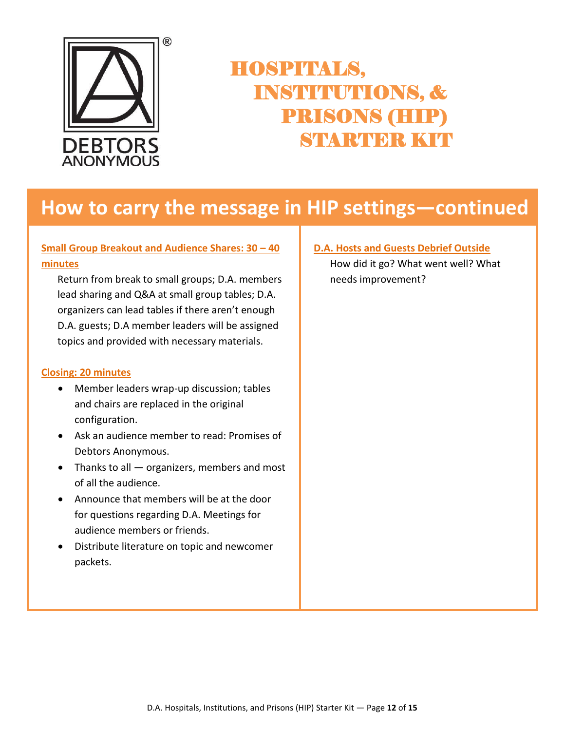

#### **How to carry the message in HIP settings—continued**

#### **Small Group Breakout and Audience Shares: 30 – 40 minutes**

Return from break to small groups; D.A. members lead sharing and Q&A at small group tables; D.A. organizers can lead tables if there aren't enough D.A. guests; D.A member leaders will be assigned topics and provided with necessary materials.

#### **Closing: 20 minutes**

- Member leaders wrap-up discussion; tables and chairs are replaced in the original configuration.
- Ask an audience member to read: Promises of Debtors Anonymous.
- Thanks to all organizers, members and most of all the audience.
- Announce that members will be at the door for questions regarding D.A. Meetings for audience members or friends.
- Distribute literature on topic and newcomer packets.

#### **D.A. Hosts and Guests Debrief Outside**

How did it go? What went well? What needs improvement?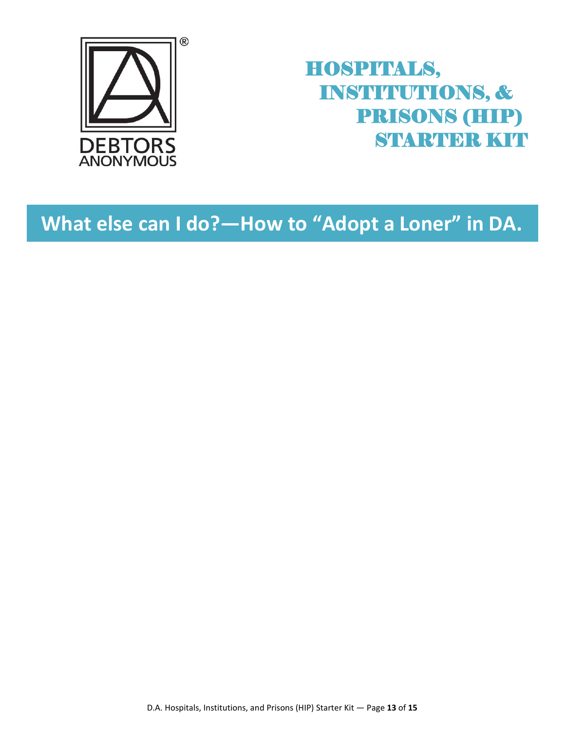

### **What else can I do?—How to "Adopt a Loner" in DA.**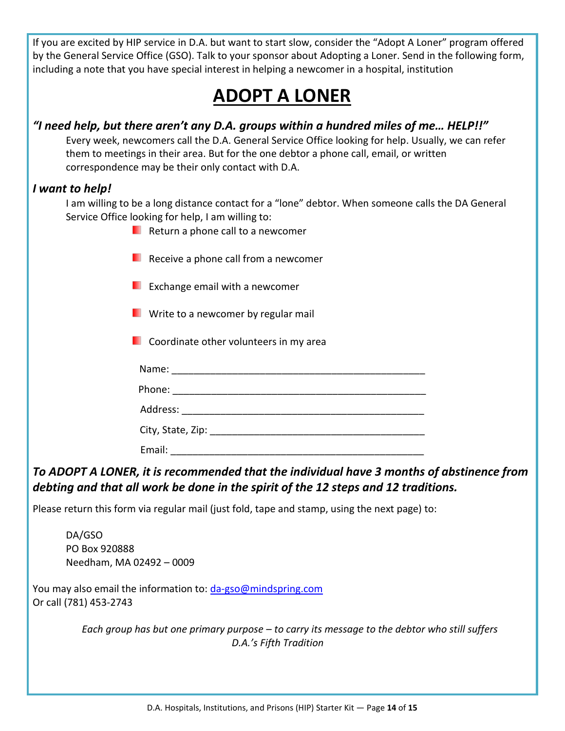If you are excited by HIP service in D.A. but want to start slow, consider the "Adopt A Loner" program offered by the General Service Office (GSO). Talk to your sponsor about Adopting a Loner. Send in the following form, including a note that you have special interest in helping a newcomer in a hospital, institution

### **ADOPT A LONER**

#### *"I need help, but there aren't any D.A. groups within a hundred miles of me… HELP!!"*

Every week, newcomers call the D.A. General Service Office looking for help. Usually, we can refer them to meetings in their area. But for the one debtor a phone call, email, or written correspondence may be their only contact with D.A.

#### *I want to help!*

I am willing to be a long distance contact for a "lone" debtor. When someone calls the DA General Service Office looking for help, I am willing to:

- **Return a phone call to a newcomer**
- **Receive a phone call from a newcomer**
- Exchange email with a newcomer
- **E** Write to a newcomer by regular mail
- **Coordinate other volunteers in my area** 
	- Name:  $\blacksquare$
	- Phone: \_\_\_\_\_\_\_\_\_\_\_\_\_\_\_\_\_\_\_\_\_\_\_\_\_\_\_\_\_\_\_\_\_\_\_\_\_\_\_\_\_\_\_\_\_\_

Address: \_\_\_\_\_\_\_\_\_\_\_\_\_\_\_\_\_\_\_\_\_\_\_\_\_\_\_\_\_\_\_\_\_\_\_\_\_\_\_\_\_\_\_\_

City, State, Zip: \_\_\_\_\_\_\_\_\_\_\_\_\_\_\_\_\_\_\_\_\_\_\_\_\_\_\_\_\_\_\_\_\_\_\_\_\_\_\_

Email: \_\_\_\_\_\_\_\_\_\_\_\_\_\_\_\_\_\_\_\_\_\_\_\_\_\_\_\_\_\_\_\_\_\_\_\_\_\_\_\_\_\_\_\_\_\_

#### *To ADOPT A LONER, it is recommended that the individual have 3 months of abstinence from debting and that all work be done in the spirit of the 12 steps and 12 traditions.*

Please return this form via regular mail (just fold, tape and stamp, using the next page) to:

DA/GSO PO Box 920888 Needham, MA 02492 – 0009

You may also email the information to: [da-gso@mindspring.com](mailto:da-gso@mindspring.com) Or call (781) 453-2743

> *Each group has but one primary purpose – to carry its message to the debtor who still suffers D.A.'s Fifth Tradition*